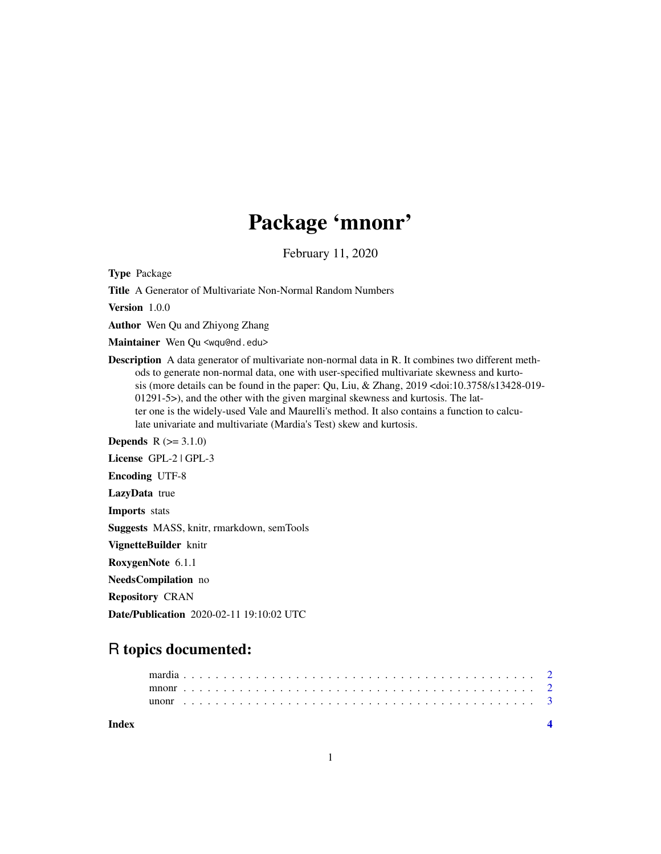## Package 'mnonr'

February 11, 2020

Type Package

Title A Generator of Multivariate Non-Normal Random Numbers

Version 1.0.0

Author Wen Qu and Zhiyong Zhang

Maintainer Wen Qu <wqu@nd.edu>

Description A data generator of multivariate non-normal data in R. It combines two different methods to generate non-normal data, one with user-specified multivariate skewness and kurtosis (more details can be found in the paper: Qu, Liu, & Zhang, 2019 <doi:10.3758/s13428-019- 01291-5>), and the other with the given marginal skewness and kurtosis. The latter one is the widely-used Vale and Maurelli's method. It also contains a function to calculate univariate and multivariate (Mardia's Test) skew and kurtosis.

**Depends**  $R (= 3.1.0)$ License GPL-2 | GPL-3 Encoding UTF-8 LazyData true Imports stats Suggests MASS, knitr, rmarkdown, semTools VignetteBuilder knitr RoxygenNote 6.1.1 NeedsCompilation no Repository CRAN

Date/Publication 2020-02-11 19:10:02 UTC

### R topics documented:

| Index |  |  |  |  |  |  |  |  |  |  |  |  |  |  |  |  |  |  |  |  |  |  |  |
|-------|--|--|--|--|--|--|--|--|--|--|--|--|--|--|--|--|--|--|--|--|--|--|--|
|       |  |  |  |  |  |  |  |  |  |  |  |  |  |  |  |  |  |  |  |  |  |  |  |
|       |  |  |  |  |  |  |  |  |  |  |  |  |  |  |  |  |  |  |  |  |  |  |  |
|       |  |  |  |  |  |  |  |  |  |  |  |  |  |  |  |  |  |  |  |  |  |  |  |

1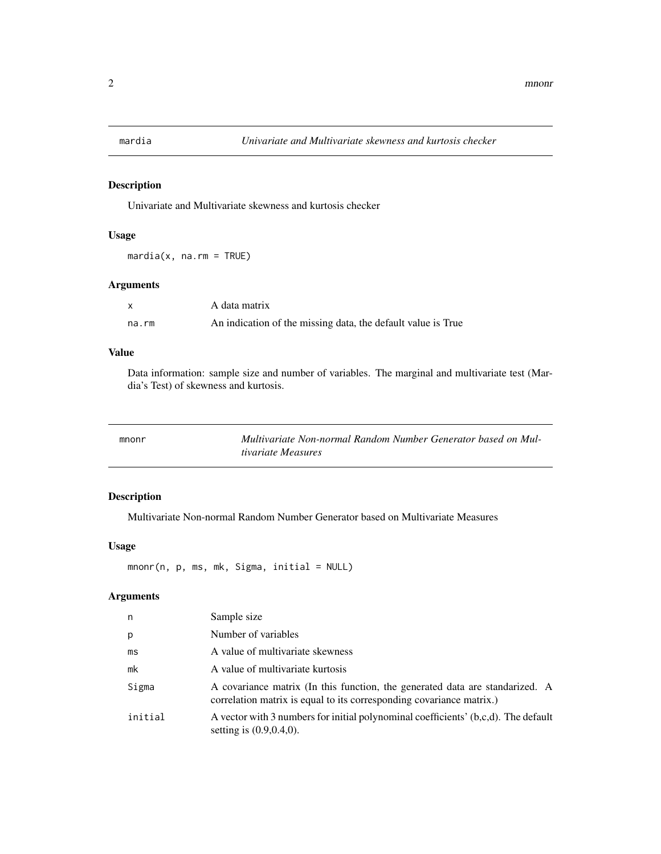<span id="page-1-0"></span>

#### Description

Univariate and Multivariate skewness and kurtosis checker

#### Usage

 $mardia(x, na.rm = TRUE)$ 

#### Arguments

| $\mathsf{x}$ | A data matrix                                                |
|--------------|--------------------------------------------------------------|
| na.rm        | An indication of the missing data, the default value is True |

#### Value

Data information: sample size and number of variables. The marginal and multivariate test (Mardia's Test) of skewness and kurtosis.

| mnonr | Multivariate Non-normal Random Number Generator based on Mul- |
|-------|---------------------------------------------------------------|
|       | tivariate Measures                                            |

#### Description

Multivariate Non-normal Random Number Generator based on Multivariate Measures

#### Usage

mnonr(n, p, ms, mk, Sigma, initial = NULL)

#### Arguments

| n       | Sample size                                                                                                                                          |
|---------|------------------------------------------------------------------------------------------------------------------------------------------------------|
| p       | Number of variables                                                                                                                                  |
| ms      | A value of multivariate skewness                                                                                                                     |
| mk      | A value of multivariate kurtosis                                                                                                                     |
| Sigma   | A covariance matrix (In this function, the generated data are standarized. A<br>correlation matrix is equal to its corresponding covariance matrix.) |
| initial | A vector with 3 numbers for initial polynominal coefficients' (b,c,d). The default<br>setting is $(0.9, 0.4, 0)$ .                                   |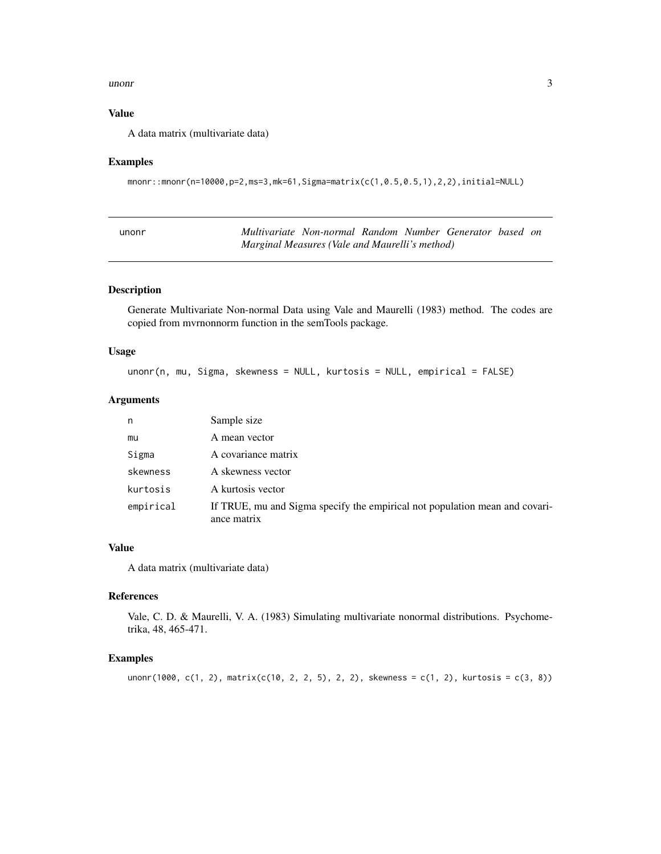#### <span id="page-2-0"></span> $\mu$ unonr  $\frac{3}{2}$

#### Value

A data matrix (multivariate data)

#### Examples

```
mnonr::mnonr(n=10000,p=2,ms=3,mk=61,Sigma=matrix(c(1,0.5,0.5,1),2,2),initial=NULL)
```

| unonr                                          | Multivariate Non-normal Random Number Generator based on |  |  |  |  |  |  |  |
|------------------------------------------------|----------------------------------------------------------|--|--|--|--|--|--|--|
| Marginal Measures (Vale and Maurelli's method) |                                                          |  |  |  |  |  |  |  |

#### Description

Generate Multivariate Non-normal Data using Vale and Maurelli (1983) method. The codes are copied from mvrnonnorm function in the semTools package.

#### Usage

```
unonr(n, mu, Sigma, skewness = NULL, kurtosis = NULL, empirical = FALSE)
```
#### Arguments

| n         | Sample size                                                                                |
|-----------|--------------------------------------------------------------------------------------------|
| mu        | A mean vector                                                                              |
| Sigma     | A covariance matrix                                                                        |
| skewness  | A skewness vector                                                                          |
| kurtosis  | A kurtosis vector                                                                          |
| empirical | If TRUE, mu and Sigma specify the empirical not population mean and covari-<br>ance matrix |

#### Value

A data matrix (multivariate data)

#### References

Vale, C. D. & Maurelli, V. A. (1983) Simulating multivariate nonormal distributions. Psychometrika, 48, 465-471.

#### Examples

```
unonr(1000, c(1, 2), matrix(c(10, 2, 2, 5), 2, 2), skewness = c(1, 2), kurtosis = c(3, 8))
```